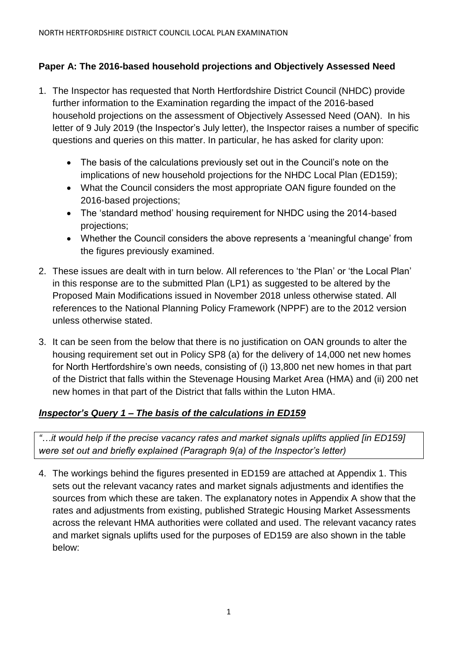# **Paper A: The 2016-based household projections and Objectively Assessed Need**

- 1. The Inspector has requested that North Hertfordshire District Council (NHDC) provide further information to the Examination regarding the impact of the 2016-based household projections on the assessment of Objectively Assessed Need (OAN). In his letter of 9 July 2019 (the Inspector's July letter), the Inspector raises a number of specific questions and queries on this matter. In particular, he has asked for clarity upon:
	- The basis of the calculations previously set out in the Council's note on the implications of new household projections for the NHDC Local Plan (ED159);
	- What the Council considers the most appropriate OAN figure founded on the 2016-based projections;
	- The 'standard method' housing requirement for NHDC using the 2014-based projections;
	- Whether the Council considers the above represents a 'meaningful change' from the figures previously examined.
- 2. These issues are dealt with in turn below. All references to 'the Plan' or 'the Local Plan' in this response are to the submitted Plan (LP1) as suggested to be altered by the Proposed Main Modifications issued in November 2018 unless otherwise stated. All references to the National Planning Policy Framework (NPPF) are to the 2012 version unless otherwise stated.
- 3. It can be seen from the below that there is no justification on OAN grounds to alter the housing requirement set out in Policy SP8 (a) for the delivery of 14,000 net new homes for North Hertfordshire's own needs, consisting of (i) 13,800 net new homes in that part of the District that falls within the Stevenage Housing Market Area (HMA) and (ii) 200 net new homes in that part of the District that falls within the Luton HMA.

# *Inspector's Query 1 – The basis of the calculations in ED159*

*"…it would help if the precise vacancy rates and market signals uplifts applied [in ED159] were set out and briefly explained (Paragraph 9(a) of the Inspector's letter)*

4. The workings behind the figures presented in ED159 are attached at Appendix 1. This sets out the relevant vacancy rates and market signals adjustments and identifies the sources from which these are taken. The explanatory notes in Appendix A show that the rates and adjustments from existing, published Strategic Housing Market Assessments across the relevant HMA authorities were collated and used. The relevant vacancy rates and market signals uplifts used for the purposes of ED159 are also shown in the table below: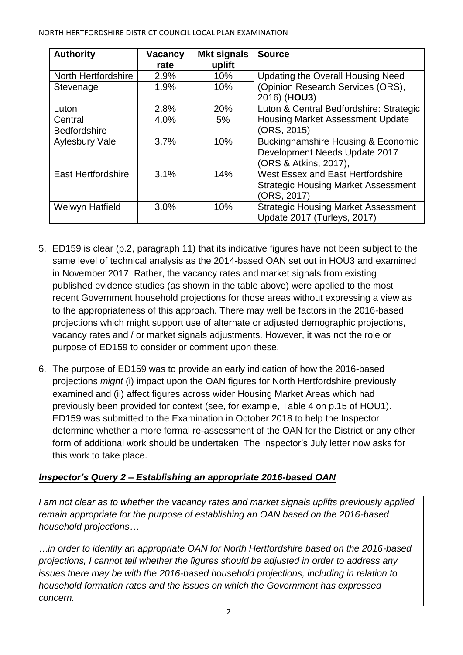| <b>Authority</b>          | <b>Vacancy</b> | <b>Mkt signals</b> | <b>Source</b>                                 |
|---------------------------|----------------|--------------------|-----------------------------------------------|
|                           | rate           | uplift             |                                               |
| North Hertfordshire       | 2.9%           | 10%                | <b>Updating the Overall Housing Need</b>      |
| Stevenage                 | 1.9%           | 10%                | (Opinion Research Services (ORS),             |
|                           |                |                    | 2016) (HOU3)                                  |
| Luton                     | 2.8%           | 20%                | Luton & Central Bedfordshire: Strategic       |
| Central                   | 4.0%           | 5%                 | <b>Housing Market Assessment Update</b>       |
| <b>Bedfordshire</b>       |                |                    | (ORS, 2015)                                   |
| <b>Aylesbury Vale</b>     | 3.7%           | 10%                | <b>Buckinghamshire Housing &amp; Economic</b> |
|                           |                |                    | Development Needs Update 2017                 |
|                           |                |                    | (ORS & Atkins, 2017),                         |
| <b>East Hertfordshire</b> | 3.1%           | 14%                | West Essex and East Hertfordshire             |
|                           |                |                    | <b>Strategic Housing Market Assessment</b>    |
|                           |                |                    | (ORS, 2017)                                   |
| Welwyn Hatfield           | 3.0%           | 10%                | <b>Strategic Housing Market Assessment</b>    |
|                           |                |                    | Update 2017 (Turleys, 2017)                   |

- 5. ED159 is clear (p.2, paragraph 11) that its indicative figures have not been subject to the same level of technical analysis as the 2014-based OAN set out in HOU3 and examined in November 2017. Rather, the vacancy rates and market signals from existing published evidence studies (as shown in the table above) were applied to the most recent Government household projections for those areas without expressing a view as to the appropriateness of this approach. There may well be factors in the 2016-based projections which might support use of alternate or adjusted demographic projections, vacancy rates and / or market signals adjustments. However, it was not the role or purpose of ED159 to consider or comment upon these.
- 6. The purpose of ED159 was to provide an early indication of how the 2016-based projections *might* (i) impact upon the OAN figures for North Hertfordshire previously examined and (ii) affect figures across wider Housing Market Areas which had previously been provided for context (see, for example, Table 4 on p.15 of HOU1). ED159 was submitted to the Examination in October 2018 to help the Inspector determine whether a more formal re-assessment of the OAN for the District or any other form of additional work should be undertaken. The Inspector's July letter now asks for this work to take place.

# *Inspector's Query 2 – Establishing an appropriate 2016-based OAN*

*I am not clear as to whether the vacancy rates and market signals uplifts previously applied remain appropriate for the purpose of establishing an OAN based on the 2016-based household projections…*

*…in order to identify an appropriate OAN for North Hertfordshire based on the 2016-based projections, I cannot tell whether the figures should be adjusted in order to address any issues there may be with the 2016-based household projections, including in relation to household formation rates and the issues on which the Government has expressed concern.*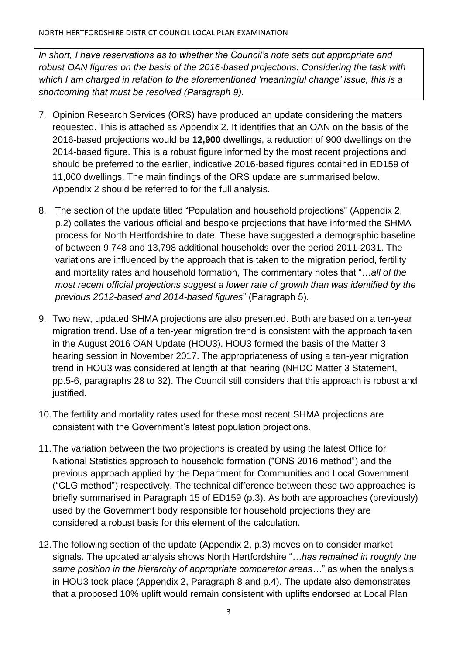*In short, I have reservations as to whether the Council's note sets out appropriate and robust OAN figures on the basis of the 2016-based projections. Considering the task with which I am charged in relation to the aforementioned 'meaningful change' issue, this is a shortcoming that must be resolved (Paragraph 9).*

- 7. Opinion Research Services (ORS) have produced an update considering the matters requested. This is attached as Appendix 2. It identifies that an OAN on the basis of the 2016-based projections would be **12,900** dwellings, a reduction of 900 dwellings on the 2014-based figure. This is a robust figure informed by the most recent projections and should be preferred to the earlier, indicative 2016-based figures contained in ED159 of 11,000 dwellings. The main findings of the ORS update are summarised below. Appendix 2 should be referred to for the full analysis.
- 8. The section of the update titled "Population and household projections" (Appendix 2, p.2) collates the various official and bespoke projections that have informed the SHMA process for North Hertfordshire to date. These have suggested a demographic baseline of between 9,748 and 13,798 additional households over the period 2011-2031. The variations are influenced by the approach that is taken to the migration period, fertility and mortality rates and household formation, The commentary notes that "…*all of the most recent official projections suggest a lower rate of growth than was identified by the previous 2012-based and 2014-based figures*" (Paragraph 5).
- 9. Two new, updated SHMA projections are also presented. Both are based on a ten-year migration trend. Use of a ten-year migration trend is consistent with the approach taken in the August 2016 OAN Update (HOU3). HOU3 formed the basis of the Matter 3 hearing session in November 2017. The appropriateness of using a ten-year migration trend in HOU3 was considered at length at that hearing (NHDC Matter 3 Statement, pp.5-6, paragraphs 28 to 32). The Council still considers that this approach is robust and justified.
- 10.The fertility and mortality rates used for these most recent SHMA projections are consistent with the Government's latest population projections.
- 11.The variation between the two projections is created by using the latest Office for National Statistics approach to household formation ("ONS 2016 method") and the previous approach applied by the Department for Communities and Local Government ("CLG method") respectively. The technical difference between these two approaches is briefly summarised in Paragraph 15 of ED159 (p.3). As both are approaches (previously) used by the Government body responsible for household projections they are considered a robust basis for this element of the calculation.
- 12.The following section of the update (Appendix 2, p.3) moves on to consider market signals. The updated analysis shows North Hertfordshire "*…has remained in roughly the same position in the hierarchy of appropriate comparator areas…*" as when the analysis in HOU3 took place (Appendix 2, Paragraph 8 and p.4). The update also demonstrates that a proposed 10% uplift would remain consistent with uplifts endorsed at Local Plan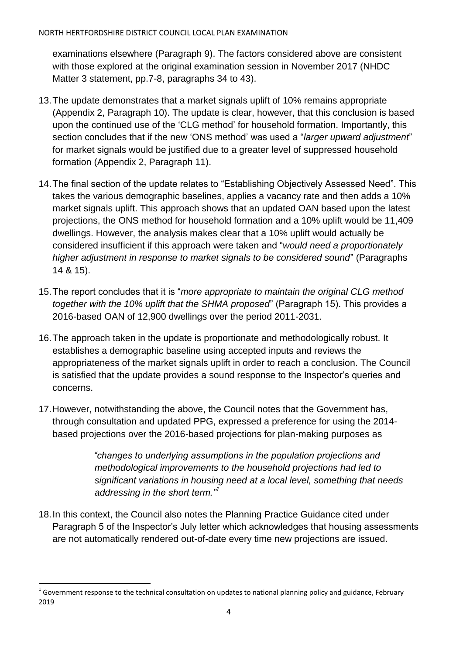examinations elsewhere (Paragraph 9). The factors considered above are consistent with those explored at the original examination session in November 2017 (NHDC Matter 3 statement, pp.7-8, paragraphs 34 to 43).

- 13.The update demonstrates that a market signals uplift of 10% remains appropriate (Appendix 2, Paragraph 10). The update is clear, however, that this conclusion is based upon the continued use of the 'CLG method' for household formation. Importantly, this section concludes that if the new 'ONS method' was used a "*larger upward adjustment*" for market signals would be justified due to a greater level of suppressed household formation (Appendix 2, Paragraph 11).
- 14.The final section of the update relates to "Establishing Objectively Assessed Need". This takes the various demographic baselines, applies a vacancy rate and then adds a 10% market signals uplift. This approach shows that an updated OAN based upon the latest projections, the ONS method for household formation and a 10% uplift would be 11,409 dwellings. However, the analysis makes clear that a 10% uplift would actually be considered insufficient if this approach were taken and "*would need a proportionately higher adjustment in response to market signals to be considered sound*" (Paragraphs 14 & 15).
- 15.The report concludes that it is "*more appropriate to maintain the original CLG method together with the 10% uplift that the SHMA proposed*" (Paragraph 15). This provides a 2016-based OAN of 12,900 dwellings over the period 2011-2031.
- 16.The approach taken in the update is proportionate and methodologically robust. It establishes a demographic baseline using accepted inputs and reviews the appropriateness of the market signals uplift in order to reach a conclusion. The Council is satisfied that the update provides a sound response to the Inspector's queries and concerns.
- 17.However, notwithstanding the above, the Council notes that the Government has, through consultation and updated PPG, expressed a preference for using the 2014 based projections over the 2016-based projections for plan-making purposes as

*"changes to underlying assumptions in the population projections and methodological improvements to the household projections had led to significant variations in housing need at a local level, something that needs addressing in the short term."<sup>1</sup>*

18.In this context, the Council also notes the Planning Practice Guidance cited under Paragraph 5 of the Inspector's July letter which acknowledges that housing assessments are not automatically rendered out-of-date every time new projections are issued.

 $\ddot{\phantom{a}}$  $^1$  Government response to the technical consultation on updates to national planning policy and guidance, February 2019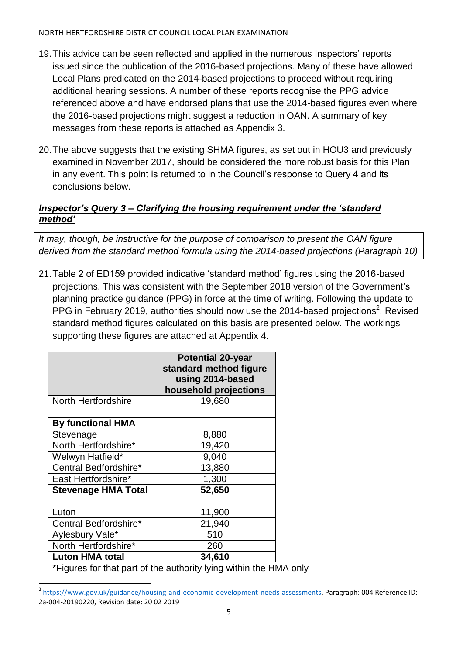#### NORTH HERTFORDSHIRE DISTRICT COUNCIL LOCAL PLAN EXAMINATION

- 19.This advice can be seen reflected and applied in the numerous Inspectors' reports issued since the publication of the 2016-based projections. Many of these have allowed Local Plans predicated on the 2014-based projections to proceed without requiring additional hearing sessions. A number of these reports recognise the PPG advice referenced above and have endorsed plans that use the 2014-based figures even where the 2016-based projections might suggest a reduction in OAN. A summary of key messages from these reports is attached as Appendix 3.
- 20.The above suggests that the existing SHMA figures, as set out in HOU3 and previously examined in November 2017, should be considered the more robust basis for this Plan in any event. This point is returned to in the Council's response to Query 4 and its conclusions below.

# *Inspector's Query 3 – Clarifying the housing requirement under the 'standard method'*

*It may, though, be instructive for the purpose of comparison to present the OAN figure derived from the standard method formula using the 2014-based projections (Paragraph 10)*

21.Table 2 of ED159 provided indicative 'standard method' figures using the 2016-based projections. This was consistent with the September 2018 version of the Government's planning practice guidance (PPG) in force at the time of writing. Following the update to PPG in February 2019, authorities should now use the 2014-based projections<sup>2</sup>. Revised standard method figures calculated on this basis are presented below. The workings supporting these figures are attached at Appendix 4.

|                            | <b>Potential 20-year</b><br>standard method figure<br>using 2014-based<br>household projections |
|----------------------------|-------------------------------------------------------------------------------------------------|
| <b>North Hertfordshire</b> | 19,680                                                                                          |
| <b>By functional HMA</b>   |                                                                                                 |
| Stevenage                  | 8,880                                                                                           |
| North Hertfordshire*       | 19,420                                                                                          |
| Welwyn Hatfield*           | 9,040                                                                                           |
| Central Bedfordshire*      | 13,880                                                                                          |
| East Hertfordshire*        | 1,300                                                                                           |
| <b>Stevenage HMA Total</b> | 52,650                                                                                          |
| Luton                      | 11,900                                                                                          |
| Central Bedfordshire*      | 21,940                                                                                          |
| Aylesbury Vale*            | 510                                                                                             |
| North Hertfordshire*       | 260                                                                                             |
| <b>Luton HMA total</b>     | 34,610                                                                                          |

\*Figures for that part of the authority lying within the HMA only

 $\ddot{\phantom{a}}$ <sup>2</sup> [https://www.gov.uk/guidance/housing-and-economic-development-needs-assessments,](https://www.gov.uk/guidance/housing-and-economic-development-needs-assessments) Paragraph: 004 Reference ID: 2a-004-20190220, Revision date: 20 02 2019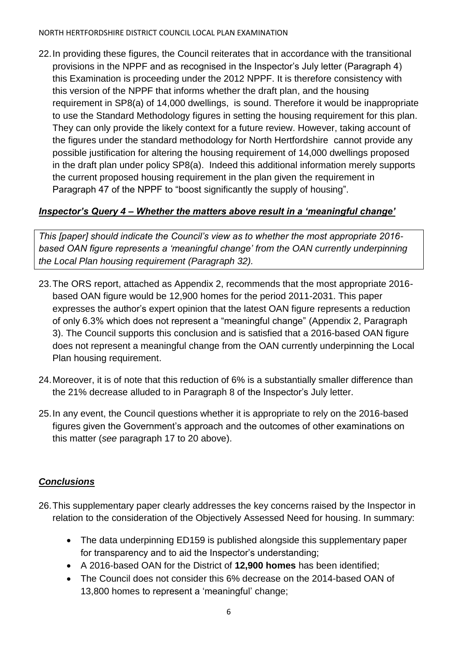#### NORTH HERTFORDSHIRE DISTRICT COUNCIL LOCAL PLAN EXAMINATION

22.In providing these figures, the Council reiterates that in accordance with the transitional provisions in the NPPF and as recognised in the Inspector's July letter (Paragraph 4) this Examination is proceeding under the 2012 NPPF. It is therefore consistency with this version of the NPPF that informs whether the draft plan, and the housing requirement in SP8(a) of 14,000 dwellings, is sound. Therefore it would be inappropriate to use the Standard Methodology figures in setting the housing requirement for this plan. They can only provide the likely context for a future review. However, taking account of the figures under the standard methodology for North Hertfordshire cannot provide any possible justification for altering the housing requirement of 14,000 dwellings proposed in the draft plan under policy SP8(a). Indeed this additional information merely supports the current proposed housing requirement in the plan given the requirement in Paragraph 47 of the NPPF to "boost significantly the supply of housing".

## *Inspector's Query 4 – Whether the matters above result in a 'meaningful change'*

*This [paper] should indicate the Council's view as to whether the most appropriate 2016 based OAN figure represents a 'meaningful change' from the OAN currently underpinning the Local Plan housing requirement (Paragraph 32).*

- 23.The ORS report, attached as Appendix 2, recommends that the most appropriate 2016 based OAN figure would be 12,900 homes for the period 2011-2031. This paper expresses the author's expert opinion that the latest OAN figure represents a reduction of only 6.3% which does not represent a "meaningful change" (Appendix 2, Paragraph 3). The Council supports this conclusion and is satisfied that a 2016-based OAN figure does not represent a meaningful change from the OAN currently underpinning the Local Plan housing requirement.
- 24.Moreover, it is of note that this reduction of 6% is a substantially smaller difference than the 21% decrease alluded to in Paragraph 8 of the Inspector's July letter.
- 25.In any event, the Council questions whether it is appropriate to rely on the 2016-based figures given the Government's approach and the outcomes of other examinations on this matter (*see* paragraph 17 to 20 above).

### *Conclusions*

- 26.This supplementary paper clearly addresses the key concerns raised by the Inspector in relation to the consideration of the Objectively Assessed Need for housing. In summary:
	- The data underpinning ED159 is published alongside this supplementary paper for transparency and to aid the Inspector's understanding;
	- A 2016-based OAN for the District of **12,900 homes** has been identified;
	- The Council does not consider this 6% decrease on the 2014-based OAN of 13,800 homes to represent a 'meaningful' change;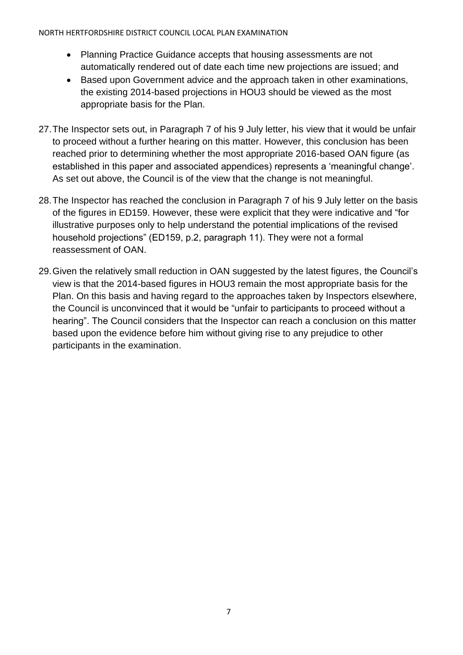#### NORTH HERTFORDSHIRE DISTRICT COUNCIL LOCAL PLAN EXAMINATION

- Planning Practice Guidance accepts that housing assessments are not automatically rendered out of date each time new projections are issued; and
- Based upon Government advice and the approach taken in other examinations, the existing 2014-based projections in HOU3 should be viewed as the most appropriate basis for the Plan.
- 27.The Inspector sets out, in Paragraph 7 of his 9 July letter, his view that it would be unfair to proceed without a further hearing on this matter. However, this conclusion has been reached prior to determining whether the most appropriate 2016-based OAN figure (as established in this paper and associated appendices) represents a 'meaningful change'. As set out above, the Council is of the view that the change is not meaningful.
- 28.The Inspector has reached the conclusion in Paragraph 7 of his 9 July letter on the basis of the figures in ED159. However, these were explicit that they were indicative and "for illustrative purposes only to help understand the potential implications of the revised household projections" (ED159, p.2, paragraph 11). They were not a formal reassessment of OAN.
- 29.Given the relatively small reduction in OAN suggested by the latest figures, the Council's view is that the 2014-based figures in HOU3 remain the most appropriate basis for the Plan. On this basis and having regard to the approaches taken by Inspectors elsewhere, the Council is unconvinced that it would be "unfair to participants to proceed without a hearing". The Council considers that the Inspector can reach a conclusion on this matter based upon the evidence before him without giving rise to any prejudice to other participants in the examination.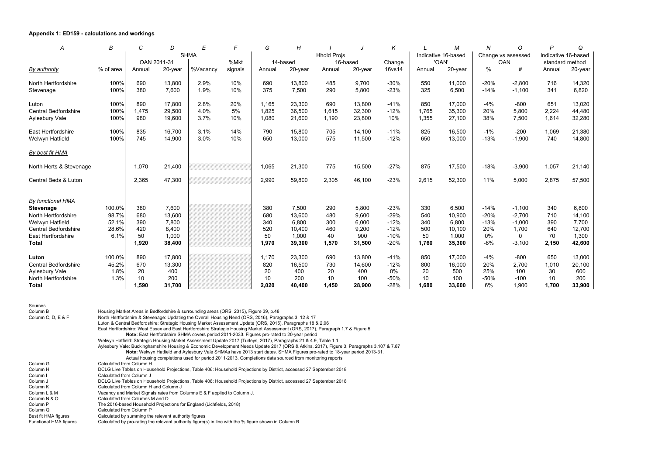#### **Appendix 1: ED159 - calculations and workings**

| A                           | B         | $\mathcal{C}$ | D       | E           | F       | G        | H       |                    | J        | K      |                     | M       | N                  | $\circ$     | P                   | Q       |
|-----------------------------|-----------|---------------|---------|-------------|---------|----------|---------|--------------------|----------|--------|---------------------|---------|--------------------|-------------|---------------------|---------|
|                             |           |               |         | <b>SHMA</b> |         |          |         | <b>Hhold Projs</b> |          |        | Indicative 16-based |         | Change vs assessed |             | Indicative 16-based |         |
|                             |           | OAN 2011-31   |         |             | %Mkt    | 14-based |         |                    | 16-based | Change |                     | 'OAN'   | <b>OAN</b>         |             | standard method     |         |
| By authority                | % of area | Annual        | 20-year | %Vacancy    | signals | Annual   | 20-year | Annual             | 20-year  | 16vs14 | Annual              | 20-year | $\%$               | #           | Annual              | 20-year |
| North Hertfordshire         | 100%      | 690           | 13,800  | 2.9%        | 10%     | 690      | 13,800  | 485                | 9,700    | $-30%$ | 550                 | 11,000  | $-20%$             | $-2,800$    | 716                 | 14,320  |
| Stevenage                   | 100%      | 380           | 7,600   | 1.9%        | 10%     | 375      | 7,500   | 290                | 5,800    | $-23%$ | 325                 | 6,500   | $-14%$             | $-1,100$    | 341                 | 6,820   |
| Luton                       | 100%      | 890           | 17,800  | 2.8%        | 20%     | 1,165    | 23,300  | 690                | 13,800   | $-41%$ | 850                 | 17,000  | $-4%$              | $-800$      | 651                 | 13,020  |
| <b>Central Bedfordshire</b> | 100%      | 1,475         | 29,500  | 4.0%        | 5%      | 1,825    | 36,500  | 1,615              | 32,300   | $-12%$ | 1,765               | 35,300  | 20%                | 5,800       | 2,224               | 44,480  |
| Aylesbury Vale              | 100%      | 980           | 19,600  | 3.7%        | 10%     | 1,080    | 21,600  | 1,190              | 23,800   | 10%    | 1,355               | 27,100  | 38%                | 7,500       | 1,614               | 32,280  |
| East Hertfordshire          | 100%      | 835           | 16,700  | 3.1%        | 14%     | 790      | 15,800  | 705                | 14,100   | $-11%$ | 825                 | 16,500  | $-1\%$             | $-200$      | 1,069               | 21,380  |
| Welwyn Hatfield             | 100%      | 745           | 14,900  | 3.0%        | 10%     | 650      | 13,000  | 575                | 11,500   | $-12%$ | 650                 | 13,000  | $-13%$             | $-1,900$    | 740                 | 14,800  |
| By best fit HMA             |           |               |         |             |         |          |         |                    |          |        |                     |         |                    |             |                     |         |
| North Herts & Stevenage     |           | 1,070         | 21,400  |             |         | 1,065    | 21,300  | 775                | 15,500   | $-27%$ | 875                 | 17,500  | $-18%$             | $-3,900$    | 1,057               | 21,140  |
| Central Beds & Luton        |           | 2,365         | 47,300  |             |         | 2,990    | 59,800  | 2,305              | 46,100   | $-23%$ | 2,615               | 52,300  | 11%                | 5,000       | 2,875               | 57,500  |
| By functional HMA           |           |               |         |             |         |          |         |                    |          |        |                     |         |                    |             |                     |         |
| <b>Stevenage</b>            | 100.0%    | 380           | 7,600   |             |         | 380      | 7,500   | 290                | 5,800    | $-23%$ | 330                 | 6,500   | $-14%$             | $-1,100$    | 340                 | 6,800   |
| North Hertfordshire         | 98.7%     | 680           | 13,600  |             |         | 680      | 13,600  | 480                | 9,600    | $-29%$ | 540                 | 10,900  | $-20%$             | $-2,700$    | 710                 | 14,100  |
| Welwyn Hatfield             | 52.1%     | 390           | 7,800   |             |         | 340      | 6,800   | 300                | 6,000    | $-12%$ | 340                 | 6,800   | $-13%$             | $-1,000$    | 390                 | 7,700   |
| <b>Central Bedfordshire</b> | 28.6%     | 420           | 8,400   |             |         | 520      | 10,400  | 460                | 9,200    | $-12%$ | 500                 | 10,100  | 20%                | 1,700       | 640                 | 12,700  |
| East Hertfordshire          | 6.1%      | 50            | 1,000   |             |         | 50       | 1,000   | 40                 | 900      | $-10%$ | 50                  | 1,000   | 0%                 | $\mathbf 0$ | 70                  | 1,300   |
| <b>Total</b>                |           | 1,920         | 38,400  |             |         | 1,970    | 39,300  | 1,570              | 31,500   | $-20%$ | 1,760               | 35,300  | $-8%$              | $-3,100$    | 2,150               | 42,600  |
| Luton                       | 100.0%    | 890           | 17,800  |             |         | 1,170    | 23,300  | 690                | 13,800   | $-41%$ | 850                 | 17,000  | $-4%$              | $-800$      | 650                 | 13,000  |
| <b>Central Bedfordshire</b> | 45.2%     | 670           | 13,300  |             |         | 820      | 16,500  | 730                | 14,600   | $-12%$ | 800                 | 16,000  | 20%                | 2,700       | 1,010               | 20,100  |
| <b>Aylesbury Vale</b>       | 1.8%      | 20            | 400     |             |         | 20       | 400     | 20                 | 400      | 0%     | 20                  | 500     | 25%                | 100         | 30                  | 600     |
| North Hertfordshire         | 1.3%      | 10            | 200     |             |         | 10       | 200     | 10                 | 100      | $-50%$ | 10                  | 100     | $-50%$             | $-100$      | 10                  | 200     |
| <b>Total</b>                |           | 1,590         | 31,700  |             |         | 2,020    | 40,400  | 1,450              | 28,900   | $-28%$ | 1,680               | 33,600  | 6%                 | 1,900       | 1,700               | 33,900  |

| Sources                |                                                                                                                                                                                                                                                                     |
|------------------------|---------------------------------------------------------------------------------------------------------------------------------------------------------------------------------------------------------------------------------------------------------------------|
| Column B               | Housing Market Areas in Bedfordshire & surrounding areas (ORS, 2015), Figure 39, p.48                                                                                                                                                                               |
| Column C, D, E & F     | North Hertfordshire & Stevenage: Updating the Overall Housing Need (ORS, 2016), Paragraphs 3, 12 & 17                                                                                                                                                               |
|                        | Luton & Central Bedfordshire: Strategic Housing Market Assessment Update (ORS, 2015), Paragraphs 18 & 2.96                                                                                                                                                          |
|                        | East Hertfordshire: West Essex and East Hertfordshire Strategic Housing Market Assessment (ORS, 2017), Paragraph 1.7 & Figure 5<br>Note: East Hertfordshire SHMA covers period 2011-2033. Figures pro-rated to 20-year period                                       |
|                        | Welwyn Hatfield: Strategic Housing Market Assessment Update 2017 (Turleys, 2017), Paragraphs 21 & 4.9, Table 1.1                                                                                                                                                    |
|                        | Aylesbury Vale: Buckinghamshire Housing & Economic Development Needs Update 2017 (ORS & Atkins, 2017), Figure 3, Paragraphs 3.107 & 7.87<br>Note: Welwyn Hatfield and Aylesbury Vale SHMAs have 2013 start dates. SHMA Figures pro-rated to 18-year period 2013-31. |
|                        | Actual housing completions used for period 2011-2013. Completions data sourced from monitoring reports                                                                                                                                                              |
| Column G               | Calculated from Column H                                                                                                                                                                                                                                            |
| Column H               | DCLG Live Tables on Household Projections, Table 406: Household Projections by District, accessed 27 September 2018                                                                                                                                                 |
| Column I               | Calculated from Column J                                                                                                                                                                                                                                            |
| Column J               | DCLG Live Tables on Household Projections, Table 406: Household Projections by District, accessed 27 September 2018                                                                                                                                                 |
| Column K               | Calculated from Column H and Column J                                                                                                                                                                                                                               |
| Column L & M           | Vacancy and Market Signals rates from Columns E & F applied to Column J.                                                                                                                                                                                            |
| Column N & O           | Calculated from Columns M and D                                                                                                                                                                                                                                     |
| Column P               | The 2016-based Household Projections for England (Lichfields, 2018)                                                                                                                                                                                                 |
| Column Q               | Calculated from Column P                                                                                                                                                                                                                                            |
| Best fit HMA figures   | Calculated by summing the relevant authority figures                                                                                                                                                                                                                |
| Functional HMA figures | Calculated by pro-rating the relevant authority figure(s) in line with the % figure shown in Column B                                                                                                                                                               |
|                        |                                                                                                                                                                                                                                                                     |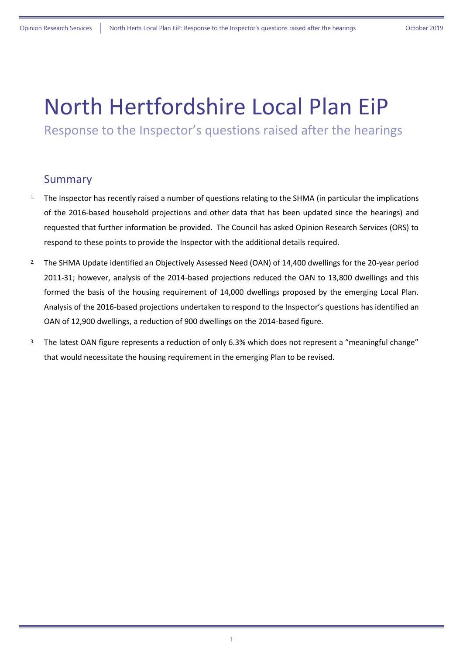# North Hertfordshire Local Plan EiP

Response to the Inspector's questions raised after the hearings

### Summary

- <sup>1</sup>. The Inspector has recently raised a number of questions relating to the SHMA (in particular the implications of the 2016-based household projections and other data that has been updated since the hearings) and requested that further information be provided. The Council has asked Opinion Research Services (ORS) to respond to these points to provide the Inspector with the additional details required.
- <sup>2.</sup> The SHMA Update identified an Objectively Assessed Need (OAN) of 14,400 dwellings for the 20-year period 2011-31; however, analysis of the 2014-based projections reduced the OAN to 13,800 dwellings and this formed the basis of the housing requirement of 14,000 dwellings proposed by the emerging Local Plan. Analysis of the 2016-based projections undertaken to respond to the Inspector's questions has identified an OAN of 12,900 dwellings, a reduction of 900 dwellings on the 2014-based figure.
- <sup>3.</sup> The latest OAN figure represents a reduction of only 6.3% which does not represent a "meaningful change" that would necessitate the housing requirement in the emerging Plan to be revised.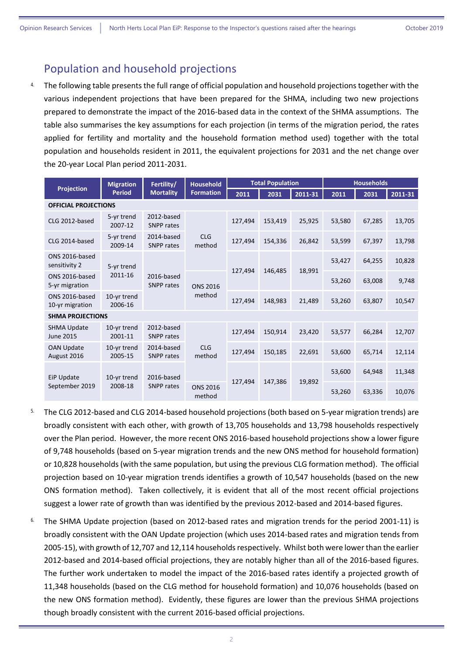# Population and household projections

<sup>4</sup>. The following table presents the full range of official population and household projections together with the various independent projections that have been prepared for the SHMA, including two new projections prepared to demonstrate the impact of the 2016-based data in the context of the SHMA assumptions. The table also summarises the key assumptions for each projection (in terms of the migration period, the rates applied for fertility and mortality and the household formation method used) together with the total population and households resident in 2011, the equivalent projections for 2031 and the net change over the 20-year Local Plan period 2011-2031.

|                                        | <b>Migration</b>             | Fertility/                      | <b>Household</b>          |         | <b>Total Population</b> |         | <b>Households</b> |        |         |  |
|----------------------------------------|------------------------------|---------------------------------|---------------------------|---------|-------------------------|---------|-------------------|--------|---------|--|
| <b>Projection</b>                      | <b>Period</b>                | <b>Mortality</b>                | <b>Formation</b>          | 2011    | 2031                    | 2011-31 | 2011              | 2031   | 2011-31 |  |
| <b>OFFICIAL PROJECTIONS</b>            |                              |                                 |                           |         |                         |         |                   |        |         |  |
| CLG 2012-based                         | 5-yr trend<br>2007-12        | 2012-based<br>SNPP rates        |                           | 127,494 | 153,419                 | 25,925  | 53,580            | 67,285 | 13,705  |  |
| CLG 2014-based                         | 5-yr trend<br>2009-14        | 2014-based<br><b>SNPP</b> rates | <b>CLG</b><br>method      | 127,494 | 154,336                 | 26,842  | 53,599            | 67,397 | 13,798  |  |
| ONS 2016-based<br>sensitivity 2        | 5-yr trend                   |                                 |                           |         | 146,485                 | 18,991  | 53,427            | 64,255 | 10,828  |  |
| ONS 2016-based<br>5-yr migration       | 2011-16                      | 2016-based<br>SNPP rates        | <b>ONS 2016</b>           | 127,494 |                         |         | 53,260            | 63,008 | 9,748   |  |
| ONS 2016-based<br>10-yr migration      | 10-yr trend<br>2006-16       |                                 | method                    | 127,494 | 148,983                 | 21,489  | 53,260            | 63,807 | 10,547  |  |
| <b>SHMA PROJECTIONS</b>                |                              |                                 |                           |         |                         |         |                   |        |         |  |
| <b>SHMA Update</b><br><b>June 2015</b> | 10-yr trend<br>2001-11       | 2012-based<br><b>SNPP</b> rates |                           | 127,494 | 150,914                 | 23,420  | 53,577            | 66,284 | 12,707  |  |
| <b>OAN Update</b><br>August 2016       | 10-yr trend<br>2005-15       | 2014-based<br><b>SNPP</b> rates | <b>CLG</b><br>method      | 127,494 | 150,185                 | 22,691  | 53,600            | 65,714 | 12,114  |  |
| EiP Update                             | 10-yr trend                  | 2016-based                      |                           | 127,494 |                         | 19,892  | 53,600            | 64,948 | 11,348  |  |
| September 2019                         | 2008-18<br><b>SNPP</b> rates |                                 | <b>ONS 2016</b><br>method |         | 147,386                 |         | 53,260            | 63,336 | 10,076  |  |

- 5. The CLG 2012-based and CLG 2014-based household projections (both based on 5-year migration trends) are broadly consistent with each other, with growth of 13,705 households and 13,798 households respectively over the Plan period. However, the more recent ONS 2016-based household projections show a lower figure of 9,748 households (based on 5-year migration trends and the new ONS method for household formation) or 10,828 households (with the same population, but using the previous CLG formation method). The official projection based on 10-year migration trends identifies a growth of 10,547 households (based on the new ONS formation method). Taken collectively, it is evident that all of the most recent official projections suggest a lower rate of growth than was identified by the previous 2012-based and 2014-based figures.
- <sup>6.</sup> The SHMA Update projection (based on 2012-based rates and migration trends for the period 2001-11) is broadly consistent with the OAN Update projection (which uses 2014-based rates and migration tends from 2005-15), with growth of 12,707 and 12,114 households respectively. Whilst both were lower than the earlier 2012-based and 2014-based official projections, they are notably higher than all of the 2016-based figures. The further work undertaken to model the impact of the 2016-based rates identify a projected growth of 11,348 households (based on the CLG method for household formation) and 10,076 households (based on the new ONS formation method). Evidently, these figures are lower than the previous SHMA projections though broadly consistent with the current 2016-based official projections.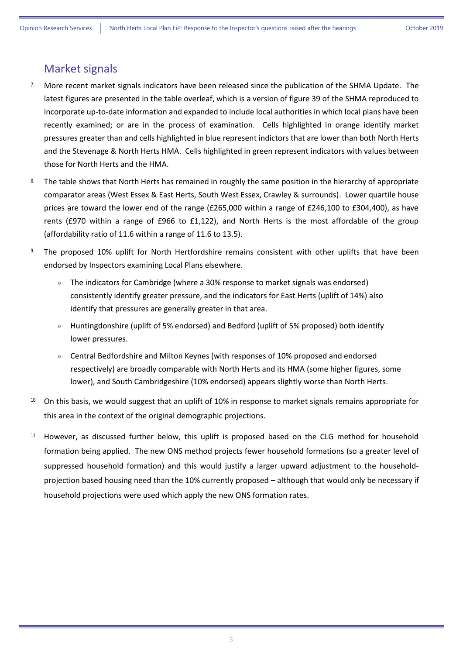# Market signals

- 7. More recent market signals indicators have been released since the publication of the SHMA Update. The latest figures are presented in the table overleaf, which is a version of figure 39 of the SHMA reproduced to incorporate up-to-date information and expanded to include local authorities in which local plans have been recently examined; or are in the process of examination. Cells highlighted in orange identify market pressures greater than and cells highlighted in blue represent indictors that are lower than both North Herts and the Stevenage & North Herts HMA. Cells highlighted in green represent indicators with values between those for North Herts and the HMA.
- 8. The table shows that North Herts has remained in roughly the same position in the hierarchy of appropriate comparator areas (West Essex & East Herts, South West Essex, Crawley & surrounds). Lower quartile house prices are toward the lower end of the range (£265,000 within a range of £246,100 to £304,400), as have rents (£970 within a range of £966 to £1,122), and North Herts is the most affordable of the group (affordability ratio of 11.6 within a range of 11.6 to 13.5).
- The proposed 10% uplift for North Hertfordshire remains consistent with other uplifts that have been endorsed by Inspectors examining Local Plans elsewhere.
	- » The indicators for Cambridge (where a 30% response to market signals was endorsed) consistently identify greater pressure, and the indicators for East Herts (uplift of 14%) also identify that pressures are generally greater in that area.
	- » Huntingdonshire (uplift of 5% endorsed) and Bedford (uplift of 5% proposed) both identify lower pressures.
	- » Central Bedfordshire and Milton Keynes (with responses of 10% proposed and endorsed respectively) are broadly comparable with North Herts and its HMA (some higher figures, some lower), and South Cambridgeshire (10% endorsed) appears slightly worse than North Herts.
- <sup>10.</sup> On this basis, we would suggest that an uplift of 10% in response to market signals remains appropriate for this area in the context of the original demographic projections.
- 11. However, as discussed further below, this uplift is proposed based on the CLG method for household formation being applied. The new ONS method projects fewer household formations (so a greater level of suppressed household formation) and this would justify a larger upward adjustment to the householdprojection based housing need than the 10% currently proposed – although that would only be necessary if household projections were used which apply the new ONS formation rates.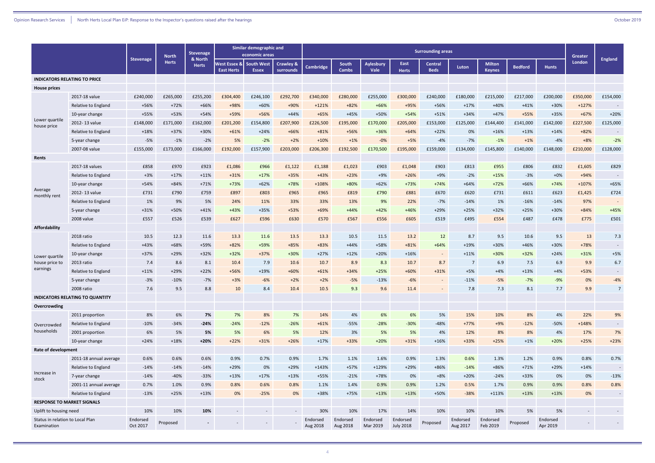|                                                 |                                        |                      | <b>North</b> | <b>Stevenage</b>        | Similar demographic and<br>economic areas     |                                   |                                   | <b>Surrounding areas</b> |                       |                          |                              |                        |                      | Greater                        |                |                      |          |                |
|-------------------------------------------------|----------------------------------------|----------------------|--------------|-------------------------|-----------------------------------------------|-----------------------------------|-----------------------------------|--------------------------|-----------------------|--------------------------|------------------------------|------------------------|----------------------|--------------------------------|----------------|----------------------|----------|----------------|
|                                                 |                                        | <b>Stevenage</b>     | <b>Herts</b> | & North<br><b>Herts</b> | <b>Nest Essex &amp;l</b><br><b>East Herts</b> | <b>South West</b><br><b>Essex</b> | <b>Crawley &amp;</b><br>surrounds | <b>Cambridge</b>         | South<br><b>Cambs</b> | <b>Aylesbury</b><br>Vale | East<br><b>Herts</b>         | Central<br><b>Beds</b> | Luton                | <b>Milton</b><br><b>Keynes</b> | <b>Bedford</b> | <b>Hunts</b>         | London   | <b>England</b> |
| <b>INDICATORS RELATING TO PRICE</b>             |                                        |                      |              |                         |                                               |                                   |                                   |                          |                       |                          |                              |                        |                      |                                |                |                      |          |                |
| <b>House prices</b>                             |                                        |                      |              |                         |                                               |                                   |                                   |                          |                       |                          |                              |                        |                      |                                |                |                      |          |                |
|                                                 | 2017-18 value                          | £240,000             | £265,000     | £255,200                | £304,400                                      | £246,100                          | £292,700                          | £340,000                 | £280,000              | £255,000                 | £300,000                     | £240,000               | £180,000             | £215,000                       | £217,000       | £200,000             | £350,000 | £154,000       |
|                                                 | Relative to England                    | +56%                 | $+72%$       | $+66%$                  | +98%                                          | $+60%$                            | +90%                              | $+121%$                  | $+82%$                | $+66%$                   | +95%                         | +56%                   | $+17%$               | $+40%$                         | $+41%$         | $+30%$               | $+127%$  |                |
|                                                 | 10-year change                         | +55%                 | +53%         | $+54%$                  | +59%                                          | +56%                              | $+44%$                            | $+65%$                   | $+45%$                | +50%                     | $+54%$                       | $+51%$                 | $+34%$               | $+47%$                         | +55%           | +35%                 | $+67%$   | $+20%$         |
| Lower quartile<br>house price                   | 2012-13 value                          | £148,000             | £171,000     | £162,000                | £201,200                                      | £154,800                          | £207,900                          | £226,500                 | £195,000              | £170,000                 | £205,000                     | £153,000               | £125,000             | £144,400                       | £141,000       | £142,000             | £227,500 | £125,000       |
|                                                 | Relative to England                    | $+18%$               | $+37%$       | $+30%$                  | $+61%$                                        | $+24%$                            | $+66%$                            | $+81%$                   | +56%                  | +36%                     | $+64%$                       | $+22%$                 | 0%                   | $+16%$                         | $+13%$         | $+14%$               | $+82%$   |                |
|                                                 | 5-year change                          | $-5%$                | $-1%$        | $-2%$                   | 5%                                            | $-2%$                             | $+2%$                             | $+10%$                   | $+1%$                 | $-0%$                    | $+5%$                        | $-4%$                  | $-7%$                | $-1%$                          | $+1%$          | $-4%$                | $+8%$    | $-2%$          |
|                                                 | 2007-08 value                          | £155,000             | £173,000     | £166,000                | £192,000                                      | £157,900                          | £203,000                          | £206,300                 | £192,500              | £170,500                 | £195,000                     | £159,000               | £134,000             | £145,800                       | £140,000       | £148,000             | £210,000 | £128,000       |
| Rents                                           |                                        |                      |              |                         |                                               |                                   |                                   |                          |                       |                          |                              |                        |                      |                                |                |                      |          |                |
|                                                 | 2017-18 values                         | £858                 | £970         | £923                    | £1,086                                        | £966                              | £1,122                            | £1,188                   | £1,023                | £903                     | £1,048                       | £903                   | £813                 | £955                           | £806           | £832                 | £1,605   | £829           |
|                                                 | Relative to England                    | $+3%$                | $+17%$       | $+11%$                  | $+31%$                                        | $+17%$                            | +35%                              | $+43%$                   | $+23%$                | $+9%$                    | $+26%$                       | $+9%$                  | $-2%$                | $+15%$                         | $-3%$          | $+0\%$               | $+94%$   |                |
|                                                 | 10-year change                         | $+54%$               | $+84%$       | $+71%$                  | $+73%$                                        | $+62%$                            | $+78%$                            | $+108%$                  | $+80%$                | $+62%$                   | $+73%$                       | $+74%$                 | $+64%$               | $+72%$                         | $+66%$         | $+74%$               | $+107%$  | $+65%$         |
| Average<br>monthly rent                         | 2012-13 value                          | £731                 | £790         | £759                    | £897                                          | £803                              | £965                              | £965                     | £819                  | £790                     | £881                         | £670                   | £620                 | £731                           | £611           | £623                 | £1,425   | £724           |
|                                                 | Relative to England                    | 1%                   | 9%           | 5%                      | 24%                                           | 11%                               | 33%                               | 33%                      | 13%                   | 9%                       | 22%                          | $-7%$                  | $-14%$               | 1%                             | $-16%$         | $-14%$               | 97%      |                |
|                                                 | 5-year change                          | $+31%$               | +50%         | $+41%$                  | $+43%$                                        | $+35%$                            | $+53%$                            | $+69%$                   | $+44%$                | $+42%$                   | $+46%$                       | $+29%$                 | $+25%$               | $+32%$                         | $+25%$         | $+30%$               | $+84%$   | $+45%$         |
|                                                 | 2008 value                             | £557                 | £526         | £539                    | £627                                          | £596                              | £630                              | £570                     | £567                  | £556                     | £605                         | £519                   | £495                 | £554                           | £487           | £478                 | £775     | £501           |
| Affordability                                   |                                        |                      |              |                         |                                               |                                   |                                   |                          |                       |                          |                              |                        |                      |                                |                |                      |          |                |
|                                                 | 2018 ratio                             | 10.5                 | 12.3         | 11.6                    | 13.3                                          | 11.6                              | 13.5                              | 13.3                     | 10.5                  | 11.5                     | 13.2                         | 12                     | 8.7                  | 9.5                            | 10.6           | 9.5                  | 13       | 7.3            |
|                                                 | Relative to England                    | $+43%$               | $+68%$       | +59%                    | $+82%$                                        | +59%                              | $+85%$                            | $+83%$                   | $+44%$                | +58%                     | $+81%$                       | $+64%$                 | $+19%$               | $+30%$                         | $+46%$         | $+30%$               | $+78%$   | $\sim$         |
| Lower quartile                                  | 10-year change                         | $+37%$               | $+29%$       | $+32%$                  | $+32%$                                        | $+37%$                            | $+30%$                            | $+27%$                   | $+12%$                | $+20%$                   | $+16%$                       | $\sim$                 | $+11%$               | $+30%$                         | $+32%$         | $+24%$               | $+31%$   | $+5%$          |
| house price to                                  | 2013 ratio                             | 7.4                  | 8.6          | 8.1                     | 10.4                                          | 7.9                               | 10.6                              | 10.7                     | 8.9                   | 8.3                      | 10.7                         | 8.7                    | $\overline{7}$       | 6.9                            | 7.5            | 6.9                  | 9.9      | 6.7            |
| earnings                                        | Relative to England                    | $+11%$               | $+29%$       | $+22%$                  | +56%                                          | $+19%$                            | $+60%$                            | $+61%$                   | $+34%$                | $+25%$                   | $+60%$                       | $+31%$                 | $+5%$                | $+4%$                          | $+13%$         | $+4%$                | +53%     | $\sim$         |
|                                                 | 5-year change                          | $-3%$                | $-10%$       | $-7%$                   | $+3%$                                         | $-6%$                             | $+2%$                             | $+2%$                    | $-5%$                 | $-13%$                   | $-6%$                        | $\sim$                 | $-11%$               | $-5%$                          | $-7%$          | $-9%$                | 0%       | $-4%$          |
|                                                 | 2008 ratio                             | 7.6                  | 9.5          | 8.8                     | 10                                            | 8.4                               | 10.4                              | 10.5                     | 93                    | 9.6                      | 11.4                         |                        | 7.8                  | 7.3                            | 8.1            | 7.7                  | 9.9      | $\overline{7}$ |
|                                                 | <b>INDICATORS RELATING TO QUANTITY</b> |                      |              |                         |                                               |                                   |                                   |                          |                       |                          |                              |                        |                      |                                |                |                      |          |                |
| Overcrowding                                    |                                        |                      |              |                         |                                               |                                   |                                   |                          |                       |                          |                              |                        |                      |                                |                |                      |          |                |
|                                                 | 2011 proportion                        | 8%                   | 6%           | 7%                      | 7%                                            | 8%                                | 7%                                | 14%                      | 4%                    | 6%                       | 6%                           | 5%                     | 15%                  | 10%                            | 8%             | 4%                   | 22%      | 9%             |
| Overcrowded                                     | Relative to England                    | $-10%$               | $-34%$       | $-24%$                  | $-24%$                                        | $-12%$                            | $-26%$                            | $+61%$                   | $-55%$                | $-28%$                   | $-30%$                       | $-48%$                 | $+77%$               | $+9%$                          | $-12%$         | $-50%$               | $+148%$  | $\sim$         |
| households                                      | 2001 proportion                        | 6%                   | 5%           | 5%                      | 5%                                            | 6%                                | 5%                                | 12%                      | 3%                    | 5%                       | 5%                           | 4%                     | 12%                  | 8%                             | 8%             | 4%                   | 17%      | 7%             |
|                                                 | 10-year change                         | $+24%$               | $+18%$       | $+20%$                  | $+22%$                                        | $+31%$                            | $+26%$                            | $+17%$                   | $+33%$                | $+20%$                   | $+31%$                       | $+16%$                 | $+33%$               | $+25%$                         | $+1%$          | $+20%$               | $+25%$   | $+23%$         |
| <b>Rate of development</b>                      |                                        |                      |              |                         |                                               |                                   |                                   |                          |                       |                          |                              |                        |                      |                                |                |                      |          |                |
|                                                 | 2011-18 annual average                 | 0.6%                 | 0.6%         | 0.6%                    | 0.9%                                          | 0.7%                              | 0.9%                              | 1.7%                     | 1.1%                  | 1.6%                     | 0.9%                         | 1.3%                   | 0.6%                 | 1.3%                           | 1.2%           | 0.9%                 | 0.8%     | 0.7%           |
|                                                 | Relative to England                    | $-14%$               | $-14%$       | $-14%$                  | $+29%$                                        | 0%                                | $+29%$                            | $+143%$                  | $+57%$                | +129%                    | $+29%$                       | $+86%$                 | $-14%$               | +86%                           | $+71%$         | $+29%$               | $+14%$   | $\sim$         |
| Increase in<br>stock                            | 7-year change                          | $-14%$               | $-40%$       | $-33%$                  | $+13%$                                        | $+17%$                            | $+13%$                            | +55%                     | $-21%$                | +78%                     | 0%                           | $+8%$                  | $+20%$               | $-24%$                         | $+33%$         | 0%                   | 0%       | $-13%$         |
|                                                 | 2001-11 annual average                 | 0.7%                 | 1.0%         | 0.9%                    | 0.8%                                          | 0.6%                              | 0.8%                              | 1.1%                     | 1.4%                  | 0.9%                     | 0.9%                         | 1.2%                   | 0.5%                 | 1.7%                           | 0.9%           | 0.9%                 | 0.8%     | 0.8%           |
|                                                 | Relative to England                    | $-13%$               | $+25%$       | $+13%$                  | 0%                                            | $-25%$                            | 0%                                | +38%                     | $+75%$                | $+13%$                   | $+13%$                       | $+50%$                 | $-38%$               | $+113%$                        | $+13%$         | $+13%$               | 0%       | $\sim$         |
| <b>RESPONSE TO MARKET SIGNALS</b>               |                                        |                      |              |                         |                                               |                                   |                                   |                          |                       |                          |                              |                        |                      |                                |                |                      |          |                |
| Uplift to housing need                          |                                        | 10%                  | 10%          | 10%                     | $\sim$ $^{-1}$                                | $\sim$                            | $\overline{\phantom{a}}$          | 30%                      | 10%                   | 17%                      | 14%                          | 10%                    | 10%                  | 10%                            | 5%             | 5%                   | $\sim$   |                |
| Status in relation to Local Plan<br>Examination |                                        | Endorsed<br>Oct 2017 | Proposed     | $\sim$                  |                                               |                                   |                                   | Endorsed<br>Aug 2018     | Endorsed<br>Aug 2018  | Endorsed<br>Mar 2019     | Endorsed<br><b>July 2018</b> | Proposed               | Endorsed<br>Aug 2017 | Endorsed<br>Feb 2019           | Proposed       | Endorsed<br>Apr 2019 |          |                |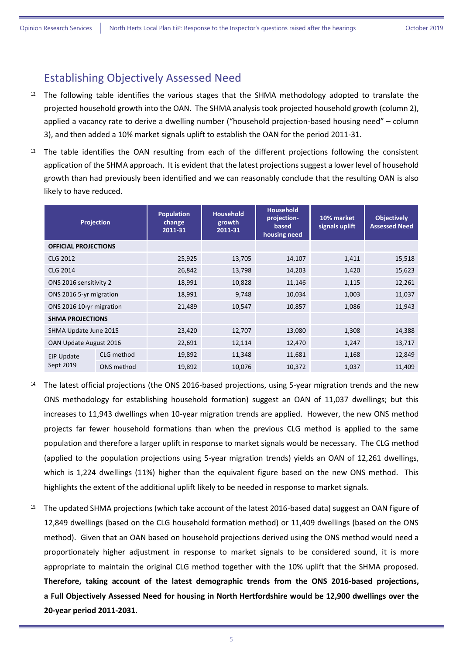# Establishing Objectively Assessed Need

- $12$ . The following table identifies the various stages that the SHMA methodology adopted to translate the projected household growth into the OAN. The SHMA analysis took projected household growth (column 2), applied a vacancy rate to derive a dwelling number ("household projection-based housing need" – column 3), and then added a 10% market signals uplift to establish the OAN for the period 2011-31.
- <sup>13.</sup> The table identifies the OAN resulting from each of the different projections following the consistent application of the SHMA approach. It is evident that the latest projections suggest a lower level of household growth than had previously been identified and we can reasonably conclude that the resulting OAN is also likely to have reduced.

| <b>Projection</b>           |            | Population<br>change<br>2011-31 | <b>Household</b><br>growth<br>2011-31 | <b>Household</b><br>projection-<br>based<br>housing need | 10% market<br>signals uplift | <b>Objectively</b><br><b>Assessed Need</b> |
|-----------------------------|------------|---------------------------------|---------------------------------------|----------------------------------------------------------|------------------------------|--------------------------------------------|
| <b>OFFICIAL PROJECTIONS</b> |            |                                 |                                       |                                                          |                              |                                            |
| <b>CLG 2012</b>             |            | 25,925                          | 13,705                                | 14,107                                                   | 1,411                        | 15,518                                     |
| <b>CLG 2014</b>             |            | 26,842                          | 13,798                                | 14,203                                                   | 1,420                        | 15,623                                     |
| ONS 2016 sensitivity 2      |            | 18,991                          | 10,828                                | 11,146                                                   | 1,115                        | 12,261                                     |
| ONS 2016 5-yr migration     |            | 18,991                          | 9,748                                 | 10,034                                                   | 1,003                        | 11,037                                     |
| ONS 2016 10-yr migration    |            | 21,489                          | 10,547                                | 10,857                                                   | 1,086                        | 11,943                                     |
| <b>SHMA PROJECTIONS</b>     |            |                                 |                                       |                                                          |                              |                                            |
| SHMA Update June 2015       |            | 23,420                          | 12,707                                | 13,080                                                   | 1,308                        | 14,388                                     |
| OAN Update August 2016      |            | 22,691                          | 12,114                                | 12,470                                                   | 1,247                        | 13,717                                     |
| EiP Update                  | CLG method | 19,892                          | 11,348                                | 11,681                                                   | 1,168                        | 12,849                                     |
| Sept 2019                   | ONS method | 19,892                          | 10,076                                | 10,372                                                   | 1,037                        | 11,409                                     |

- <sup>14.</sup> The latest official projections (the ONS 2016-based projections, using 5-year migration trends and the new ONS methodology for establishing household formation) suggest an OAN of 11,037 dwellings; but this increases to 11,943 dwellings when 10-year migration trends are applied. However, the new ONS method projects far fewer household formations than when the previous CLG method is applied to the same population and therefore a larger uplift in response to market signals would be necessary. The CLG method (applied to the population projections using 5-year migration trends) yields an OAN of 12,261 dwellings, which is 1,224 dwellings (11%) higher than the equivalent figure based on the new ONS method. This highlights the extent of the additional uplift likely to be needed in response to market signals.
- 15. The updated SHMA projections (which take account of the latest 2016-based data) suggest an OAN figure of 12,849 dwellings (based on the CLG household formation method) or 11,409 dwellings (based on the ONS method). Given that an OAN based on household projections derived using the ONS method would need a proportionately higher adjustment in response to market signals to be considered sound, it is more appropriate to maintain the original CLG method together with the 10% uplift that the SHMA proposed. **Therefore, taking account of the latest demographic trends from the ONS 2016-based projections, a Full Objectively Assessed Need for housing in North Hertfordshire would be 12,900 dwellings over the 20-year period 2011-2031.**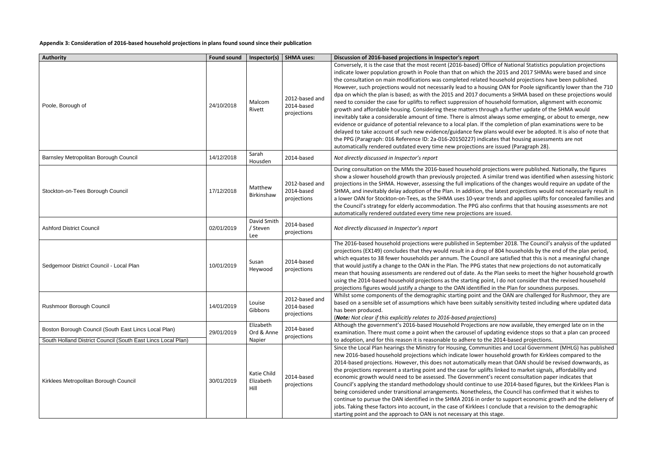**Appendix 3: Consideration of 2016-based household projections in plans found sound since their publication** 

| <b>Authority</b>                                                                                                     | <b>Found sound</b> | Inspector(s)                      | <b>SHMA uses:</b>                           | Discussion of 2016-based projections in Inspector's report                                                                                                                                                                                                                                                                                                                                                                                                                                                                                                                                                                                                                                                                                                                                                                                                                                                                   |
|----------------------------------------------------------------------------------------------------------------------|--------------------|-----------------------------------|---------------------------------------------|------------------------------------------------------------------------------------------------------------------------------------------------------------------------------------------------------------------------------------------------------------------------------------------------------------------------------------------------------------------------------------------------------------------------------------------------------------------------------------------------------------------------------------------------------------------------------------------------------------------------------------------------------------------------------------------------------------------------------------------------------------------------------------------------------------------------------------------------------------------------------------------------------------------------------|
| Poole, Borough of                                                                                                    | 24/10/2018         | Malcom<br>Rivett                  | 2012-based and<br>2014-based<br>projections | Conversely, it is the case that the most recent (2016-based) Office of Nat<br>indicate lower population growth in Poole than that on which the 2015 a<br>the consultation on main modifications was completed related househol<br>However, such projections would not necessarily lead to a housing OAN<br>dpa on which the plan is based; as with the 2015 and 2017 documents a<br>need to consider the case for uplifts to reflect suppression of household<br>growth and affordable housing. Considering these matters through a fur<br>inevitably take a considerable amount of time. There is almost always so<br>evidence or guidance of potential relevance to a local plan. If the comple<br>delayed to take account of such new evidence/guidance few plans would<br>the PPG (Paragraph: 016 Reference ID: 2a-016-20150227) indicates that<br>automatically rendered outdated every time new projections are issued |
| Barnsley Metropolitan Borough Council                                                                                | 14/12/2018         | Sarah<br>Housden                  | 2014-based                                  | Not directly discussed in Inspector's report                                                                                                                                                                                                                                                                                                                                                                                                                                                                                                                                                                                                                                                                                                                                                                                                                                                                                 |
| Stockton-on-Tees Borough Council                                                                                     | 17/12/2018         | Matthew<br>Birkinshaw             | 2012-based and<br>2014-based<br>projections | During consultation on the MMs the 2016-based household projections<br>show a slower household growth than previously projected. A similar tre<br>projections in the SHMA. However, assessing the full implications of the<br>SHMA, and inevitably delay adoption of the Plan. In addition, the latest p<br>a lower OAN for Stockton-on-Tees, as the SHMA uses 10-year trends and<br>the Council's strategy for elderly accommodation. The PPG also confirms<br>automatically rendered outdated every time new projections are issued.                                                                                                                                                                                                                                                                                                                                                                                       |
| <b>Ashford District Council</b>                                                                                      | 02/01/2019         | David Smith<br>/ Steven<br>Lee    | 2014-based<br>projections                   | Not directly discussed in Inspector's report                                                                                                                                                                                                                                                                                                                                                                                                                                                                                                                                                                                                                                                                                                                                                                                                                                                                                 |
| Sedgemoor District Council - Local Plan                                                                              | 10/01/2019         | Susan<br>Heywood                  | 2014-based<br>projections                   | The 2016-based household projections were published in September 20<br>projections (EX149) concludes that they would result in a drop of 804 ho<br>which equates to 38 fewer households per annum. The Council are satist<br>that would justify a change to the OAN in the Plan. The PPG states that r<br>mean that housing assessments are rendered out of date. As the Plan se<br>using the 2014-based household projections as the starting point, I do no<br>projections figures would justify a change to the OAN identified in the Pl                                                                                                                                                                                                                                                                                                                                                                                  |
| Rushmoor Borough Council                                                                                             | 14/01/2019         | Louise<br>Gibbons                 | 2012-based and<br>2014-based<br>projections | Whilst some components of the demographic starting point and the OAI<br>based on a sensible set of assumptions which have been suitably sensitiv<br>has been produced.<br>(Note: Not clear if this explicitly relates to 2016-based projections)                                                                                                                                                                                                                                                                                                                                                                                                                                                                                                                                                                                                                                                                             |
| Boston Borough Council (South East Lincs Local Plan)<br>South Holland District Council (South East Lincs Local Plan) | 29/01/2019         | Elizabeth<br>Ord & Anne<br>Napier | 2014-based<br>projections                   | Although the government's 2016-based Household Projections are now<br>examination. There must come a point when the carousel of updating ev<br>to adoption, and for this reason it is reasonable to adhere to the 2014-ba                                                                                                                                                                                                                                                                                                                                                                                                                                                                                                                                                                                                                                                                                                    |
| Kirklees Metropolitan Borough Council                                                                                | 30/01/2019         | Katie Child<br>Elizabeth<br>Hill  | 2014-based<br>projections                   | Since the Local Plan hearings the Ministry for Housing, Communities and<br>new 2016-based household projections which indicate lower household<br>2014-based projections. However, this does not automatically mean tha<br>the projections represent a starting point and the case for uplifts linked<br>economic growth would need to be assessed. The Government's recent<br>Council's applying the standard methodology should continue to use 201<br>being considered under transitional arrangements. Nonetheless, the Cou<br>continue to pursue the OAN identified in the SHMA 2016 in order to sup<br>jobs. Taking these factors into account, in the case of Kirklees I conclude<br>starting point and the approach to OAN is not necessary at this stage.                                                                                                                                                           |

Ce of National Statistics population projections e 2015 and 2017 SHMAs were based and since ousehold projections have been published. ng OAN for Poole significantly lower than the 710 ments a SHMA based on these projections would usehold formation, alignment with economic gh a further update of the SHMA would ways some emerging, or about to emerge, new extee ompletion of plan examinations were to be ns would ever be adopted. It is also of note that tes that housing assessments are not dered (Paragraph 28).

ections were published. Nationally, the figures milar trend was identified when assessing historic s of the changes would require an update of the delay intest projections would not necessarily result in ends and applies uplifts for concealed families and confirms that that housing assessments are not

nber 2018. The Council's analysis of the updated f 804 households by the end of the plan period, re satisfied that this is not a meaningful change es that new projections do not automatically Plan seeks to meet the higher household growth t, I do not consider that the revised household n the Plan for soundness purposes.

the OAN are challenged for Rushmoor, they are sensitivity tested including where updated data

re now available, they emerged late on in the ating evidence stops so that a plan can proceed 2014-based projections.

ties and Local Government (MHLG) has published isehold growth for Kirklees compared to the ean that OAN should be revised downwards, as the projections in starting in starting in starting and the case in the case in recent consultation paper indicates that use 2014-based figures, but the Kirklees Plan is the Council has confirmed that it wishes to r to support economic growth and the delivery of onclude that a revision to the demographic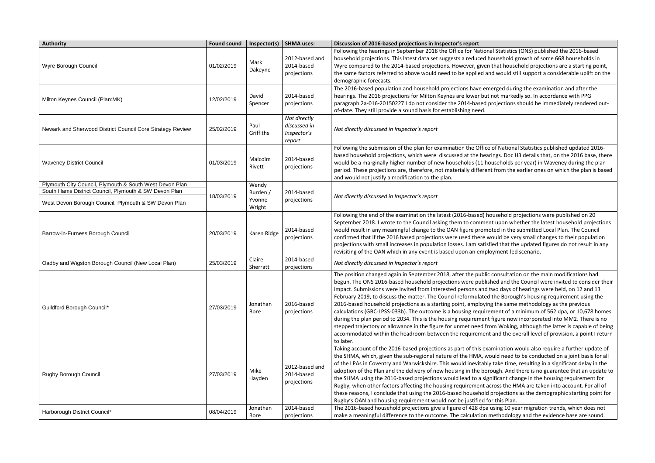| <b>Authority</b>                                                                                                                                                         | <b>Found sound</b> | Inspector(s)                          | <b>SHMA uses:</b>                                     | Discussion of 2016-based projections in Inspector's report                                                                                                                                                                                                                                                                                                                                                                                                                                                                                                                                                                    |
|--------------------------------------------------------------------------------------------------------------------------------------------------------------------------|--------------------|---------------------------------------|-------------------------------------------------------|-------------------------------------------------------------------------------------------------------------------------------------------------------------------------------------------------------------------------------------------------------------------------------------------------------------------------------------------------------------------------------------------------------------------------------------------------------------------------------------------------------------------------------------------------------------------------------------------------------------------------------|
| Wyre Borough Council                                                                                                                                                     | 01/02/2019         | Mark<br>Dakeyne                       | 2012-based and<br>2014-based<br>projections           | Following the hearings in September 2018 the Office for Nationa<br>household projections. This latest data set suggests a reduced ho<br>Wyre compared to the 2014-based projections. However, given t<br>the same factors referred to above would need to be applied and<br>demographic forecasts.                                                                                                                                                                                                                                                                                                                            |
| Milton Keynes Council (Plan:MK)                                                                                                                                          | 12/02/2019         | David<br>Spencer                      | 2014-based<br>projections                             | The 2016-based population and household projections have eme<br>hearings. The 2016 projections for Milton Keynes are lower but r<br>paragraph 2a-016-20150227 I do not consider the 2014-based pr<br>of-date. They still provide a sound basis for establishing need.                                                                                                                                                                                                                                                                                                                                                         |
| Newark and Sherwood District Council Core Strategy Review                                                                                                                | 25/02/2019         | Paul<br>Griffiths                     | Not directly<br>discussed in<br>Inspector's<br>report | Not directly discussed in Inspector's report                                                                                                                                                                                                                                                                                                                                                                                                                                                                                                                                                                                  |
| <b>Waveney District Council</b>                                                                                                                                          | 01/03/2019         | Malcolm<br>Rivett                     | 2014-based<br>projections                             | Following the submission of the plan for examination the Office<br>based household projections, which were discussed at the heari<br>would be a marginally higher number of new households (11 house<br>period. These projections are, therefore, not materially different<br>and would not justify a modification to the plan.                                                                                                                                                                                                                                                                                               |
| Plymouth City Council, Plymouth & South West Devon Plan<br>South Hams District Council, Plymouth & SW Devon Plan<br>West Devon Borough Council, Plymouth & SW Devon Plan | 18/03/2019         | Wendy<br>Burden /<br>Yvonne<br>Wright | 2014-based<br>projections                             | Not directly discussed in Inspector's report                                                                                                                                                                                                                                                                                                                                                                                                                                                                                                                                                                                  |
| Barrow-in-Furness Borough Council                                                                                                                                        | 20/03/2019         | Karen Ridge                           | 2014-based<br>projections                             | Following the end of the examination the latest (2016-based) ho<br>September 2018. I wrote to the Council asking them to comment<br>would result in any meaningful change to the OAN figure promot<br>confirmed that if the 2016 based projections were used there wo<br>projections with small increases in population losses. I am satisfi<br>revisiting of the OAN which in any event is based upon an emplo                                                                                                                                                                                                               |
| Oadby and Wigston Borough Council (New Local Plan)                                                                                                                       | 25/03/2019         | Claire<br>Sherratt                    | 2014-based<br>projections                             | Not directly discussed in Inspector's report                                                                                                                                                                                                                                                                                                                                                                                                                                                                                                                                                                                  |
| Guildford Borough Council*                                                                                                                                               | 27/03/2019         | Jonathan<br><b>Bore</b>               | 2016-based<br>projections                             | The position changed again in September 2018, after the public<br>begun. The ONS 2016-based household projections were publish<br>impact. Submissions were invited from interested persons and ty<br>February 2019, to discuss the matter. The Council reformulated t<br>2016-based household projections as a starting point, employing<br>calculations (GBC-LPSS-033b). The outcome is a housing requirer<br>during the plan period to 2034. This is the housing requirement f<br>stepped trajectory or allowance in the figure for unmet need fro<br>accommodated within the headroom between the requirement<br>to later. |
| Rugby Borough Council                                                                                                                                                    | 27/03/2019         | Mike<br>Hayden                        | 2012-based and<br>2014-based<br>projections           | Taking account of the 2016-based projections as part of this exar<br>the SHMA, which, given the sub-regional nature of the HMA, wo<br>of the LPAs in Coventry and Warwickshire. This would inevitably<br>adoption of the Plan and the delivery of new housing in the boro<br>the SHMA using the 2016-based projections would lead to a sign<br>Rugby, when other factors affecting the housing requirement act<br>these reasons, I conclude that using the 2016-based household p<br>Rugby's OAN and housing requirement would not be justified for                                                                           |
| Harborough District Council*                                                                                                                                             | 08/04/2019         | Jonathan<br>Bore                      | 2014-based<br>projections                             | The 2016-based household projections give a figure of 428 dpa u<br>make a meaningful difference to the outcome. The calculation m                                                                                                                                                                                                                                                                                                                                                                                                                                                                                             |

al Statistics (ONS) published the 2016-based ousehold growth of some 668 households in that household projections are a starting point, d would still support a considerable uplift on the

erged during the examination and after the not markedly so. In accordance with PPG rojections should be immediately rendered out-

of National Statistics published updated 2016ings. Doc H3 details that, on the 2016 base, there useholds per year) in Waveney during the plan from the earlier ones on which the plan is based

busehold projections were published on 20 It upon whether the latest household projections ted in the submitted Local Plan. The Council ould be very small changes to their population ied that the updated figures do not result in any vyment-led scenario.

consultation on the main modifications had ned and the Council were invited to consider their wo days of hearings were held, on 12 and 13 the Borough's housing requirement using the the same methodology as the previous ment of a minimum of 562 dpa, or 10,678 homes figure now incorporated into MM2. There is no om Woking, although the latter is capable of being and the overall level of provision, a point I return

mination would also require a further update of uld need to be conducted on a joint basis for all take time, resulting in a significant delay in the bugh. And there is no guarantee that an update to ifficant change in the housing requirement for ross the HMA are taken into account. For all of projections as the demographic starting point for r this Plan.

Ising 10 year migration trends, which does not nethodology and the evidence base are sound.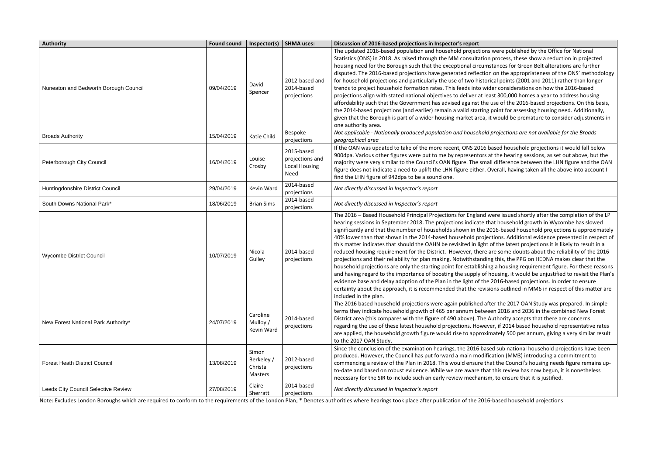*Not applicable - Nationally produced population and household projections are not available for the Broads* 

ased household projections it would fall below the hearing sessions, as set out above, but the difference between the LHN figure and the OAN verall, having taken all the above into account I

ere issued shortly after the completion of the LP at household growth in Wycombe has slowed 16-based household projections is approximately tions. Additional evidence presented in respect of of the latest projections it is likely to result in a re some doubts about the reliability of the 2016this, the PPG on HEDNA makes clear that the ahousing requirement figure. For these reasons ousing, it would be unjustified to revisit the Plan's 2016-based projections. In order to ensure ons outlined in MM6 in respect of this matter are

er the 2017 OAN Study was prepared. In simple en 2016 and 2036 in the combined New Forest uthority accepts that there are concerns er, if 2014 based household representative rates ately 500 per annum, giving a very similar result

d sub national household projections have been ation (MM3) introducing a commitment to at the Council's housing needs figure remains upthis review has now begun, it is nonetheless , to ensure that it is justified.

| <b>Authority</b>                      | <b>Found sound</b> | Inspector(s)                              | <b>SHMA uses:</b>                                             | Discussion of 2016-based projections in Inspector's report                                                                                                                                                                                                                                                                                                                                                                                                                                                                                                                                                                                                                                                                                                                                           |
|---------------------------------------|--------------------|-------------------------------------------|---------------------------------------------------------------|------------------------------------------------------------------------------------------------------------------------------------------------------------------------------------------------------------------------------------------------------------------------------------------------------------------------------------------------------------------------------------------------------------------------------------------------------------------------------------------------------------------------------------------------------------------------------------------------------------------------------------------------------------------------------------------------------------------------------------------------------------------------------------------------------|
| Nuneaton and Bedworth Borough Council | 09/04/2019         | David<br>Spencer                          | 2012-based and<br>2014-based<br>projections                   | The updated 2016-based population and household projections<br>Statistics (ONS) in 2018. As raised through the MM consultation<br>housing need for the Borough such that the exceptional circumst<br>disputed. The 2016-based projections have generated reflection<br>for household projections and particularly the use of two historic<br>trends to project household formation rates. This feeds into wide<br>projections align with stated national objectives to deliver at leas<br>affordability such that the Government has advised against the u<br>the 2014-based projections (and earlier) remain a valid starting p<br>given that the Borough is part of a wider housing market area, it<br>one authority area.                                                                         |
| <b>Broads Authority</b>               | 15/04/2019         | Katie Child                               | Bespoke<br>projections                                        | Not applicable - Nationally produced population and household p<br>geographical area                                                                                                                                                                                                                                                                                                                                                                                                                                                                                                                                                                                                                                                                                                                 |
| Peterborough City Council             | 16/04/2019         | Louise<br>Crosby                          | 2015-based<br>projections and<br><b>Local Housing</b><br>Need | If the OAN was updated to take of the more recent, ONS 2016 ba<br>900dpa. Various other figures were put to me by representors at<br>majority were very similar to the Council's OAN figure. The small<br>figure does not indicate a need to uplift the LHN figure either. Ov<br>find the LHN figure of 942dpa to be a sound one.                                                                                                                                                                                                                                                                                                                                                                                                                                                                    |
| Huntingdonshire District Council      | 29/04/2019         | Kevin Ward                                | 2014-based<br>projections                                     | Not directly discussed in Inspector's report                                                                                                                                                                                                                                                                                                                                                                                                                                                                                                                                                                                                                                                                                                                                                         |
| South Downs National Park*            | 18/06/2019         | <b>Brian Sims</b>                         | 2014-based<br>projections                                     | Not directly discussed in Inspector's report                                                                                                                                                                                                                                                                                                                                                                                                                                                                                                                                                                                                                                                                                                                                                         |
| <b>Wycombe District Council</b>       | 10/07/2019         | Nicola<br>Gulley                          | 2014-based<br>projections                                     | The 2016 - Based Household Principal Projections for England wo<br>hearing sessions in September 2018. The projections indicate tha<br>significantly and that the number of households shown in the 20<br>40% lower than that shown in the 2014-based household project<br>this matter indicates that should the OAHN be revisited in light o<br>reduced housing requirement for the District. However, there are<br>projections and their reliability for plan making. Notwithstanding<br>household projections are only the starting point for establishing<br>and having regard to the importance of boosting the supply of ho<br>evidence base and delay adoption of the Plan in the light of the 2<br>certainty about the approach, it is recommended that the revisio<br>included in the plan. |
| New Forest National Park Authority*   | 24/07/2019         | Caroline<br>Mulloy /<br>Kevin Ward        | 2014-based<br>projections                                     | The 2016 based household projections were again published afte<br>terms they indicate household growth of 465 per annum betwee<br>District area (this compares with the figure of 490 above). The Au<br>regarding the use of these latest household projections. Howeve<br>are applied, the household growth figure would rise to approxim<br>to the 2017 OAN Study.                                                                                                                                                                                                                                                                                                                                                                                                                                 |
| <b>Forest Heath District Council</b>  | 13/08/2019         | Simon<br>Berkeley /<br>Christa<br>Masters | 2012-based<br>projections                                     | Since the conclusion of the examination hearings, the 2016 base<br>produced. However, the Council has put forward a main modifica<br>commencing a review of the Plan in 2018. This would ensure tha<br>to-date and based on robust evidence. While we are aware that<br>necessary for the SIR to include such an early review mechanism                                                                                                                                                                                                                                                                                                                                                                                                                                                              |
| Leeds City Council Selective Review   | 27/08/2019         | Claire<br>Sherratt                        | 2014-based<br>projections                                     | Not directly discussed in Inspector's report                                                                                                                                                                                                                                                                                                                                                                                                                                                                                                                                                                                                                                                                                                                                                         |

Note: Excludes London Boroughs which are required to conform to the requirements of the London Plan; \* Denotes authorities where hearings took place after publication of the 2016-based household projections

were published by the Office for National process, these show a reduction in projected tances for Green Belt alterations are further on the appropriateness of the ONS' methodology cal points (2001 and 2011) rather than longer er considerations on how the 2016-based st 300,000 homes a year to address housing ase of the 2016-based projections. On this basis, the 2014-based projections incontriant for assessing housing a valid additionally, would be premature to consider adjustments in